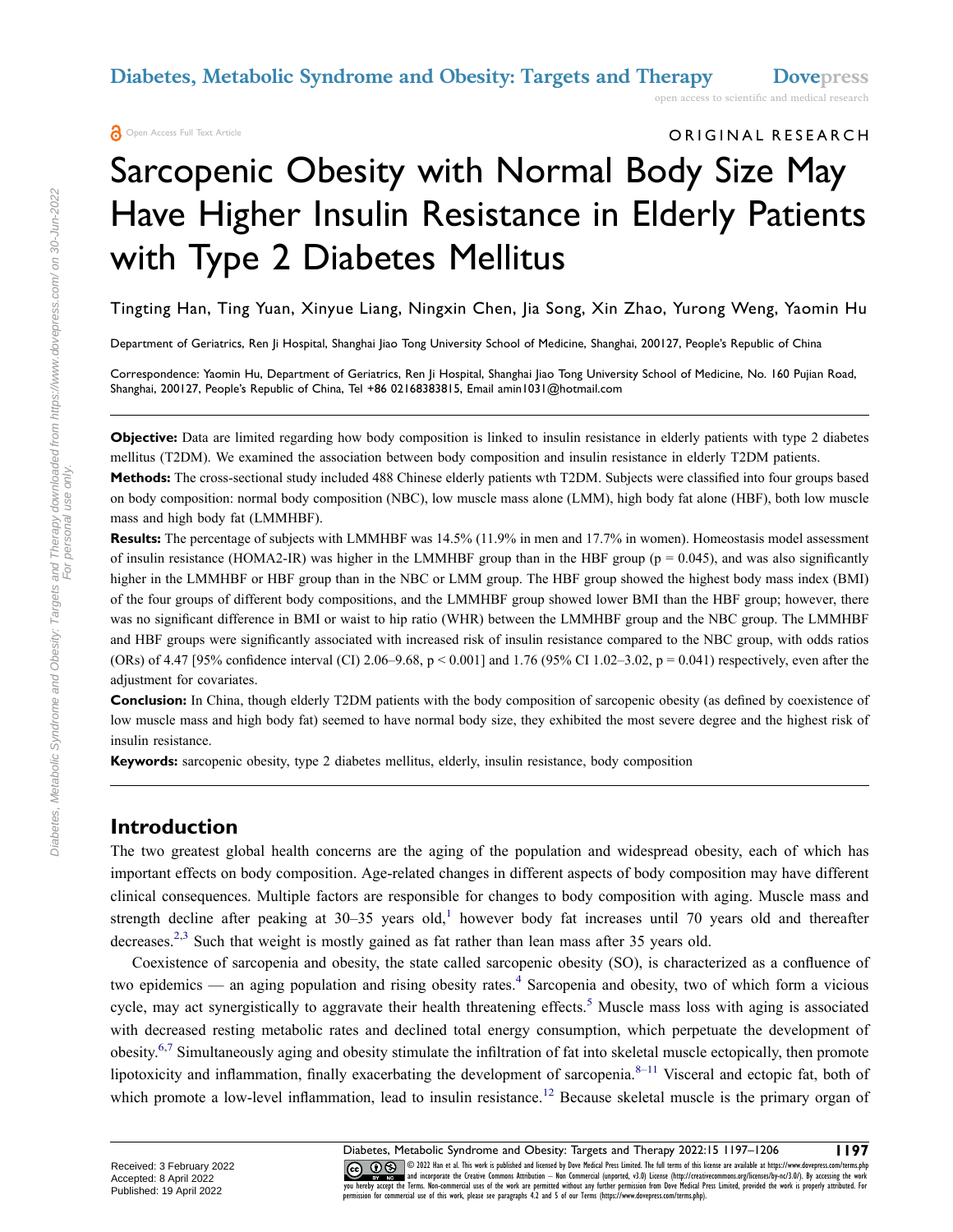ORIGINAL RESEARCH

# Sarcopenic Obesity with Normal Body Size May Have Higher Insulin Resistance in Elderly Patients with Type 2 Diabetes Mellitus

Tingting Han, Ting Yuan, Xinyue Liang, Ningxin Chen, Jia Song, Xin Zhao, Yurong Weng, Yaomin Hu

Department of Geriatrics, Ren Ji Hospital, Shanghai Jiao Tong University School of Medicine, Shanghai, 200127, People's Republic of China

Correspondence: Yaomin Hu, Department of Geriatrics, Ren |i Hospital, Shanghai |iao Tong University School of Medicine, No. 160 Pujian Road, Shanghai, 200127, People's Republic of China, Tel +86 02168383815, Email amin1031@hotmail.com

**Objective:** Data are limited regarding how body composition is linked to insulin resistance in elderly patients with type 2 diabetes mellitus (T2DM). We examined the association between body composition and insulin resistance in elderly T2DM patients.

**Methods:** The cross-sectional study included 488 Chinese elderly patients wth T2DM. Subjects were classified into four groups based on body composition: normal body composition (NBC), low muscle mass alone (LMM), high body fat alone (HBF), both low muscle mass and high body fat (LMMHBF).

**Results:** The percentage of subjects with LMMHBF was 14.5% (11.9% in men and 17.7% in women). Homeostasis model assessment of insulin resistance (HOMA2-IR) was higher in the LMMHBF group than in the HBF group ( $p = 0.045$ ), and was also significantly higher in the LMMHBF or HBF group than in the NBC or LMM group. The HBF group showed the highest body mass index (BMI) of the four groups of different body compositions, and the LMMHBF group showed lower BMI than the HBF group; however, there was no significant difference in BMI or waist to hip ratio (WHR) between the LMMHBF group and the NBC group. The LMMHBF and HBF groups were significantly associated with increased risk of insulin resistance compared to the NBC group, with odds ratios (ORs) of 4.47 [95% confidence interval (CI) 2.06–9.68, p < 0.001] and 1.76 (95% CI 1.02–3.02, p = 0.041) respectively, even after the adjustment for covariates.

**Conclusion:** In China, though elderly T2DM patients with the body composition of sarcopenic obesity (as defined by coexistence of low muscle mass and high body fat) seemed to have normal body size, they exhibited the most severe degree and the highest risk of insulin resistance.

**Keywords:** sarcopenic obesity, type 2 diabetes mellitus, elderly, insulin resistance, body composition

#### **Introduction**

The two greatest global health concerns are the aging of the population and widespread obesity, each of which has important effects on body composition. Age-related changes in different aspects of body composition may have different clinical consequences. Multiple factors are responsible for changes to body composition with aging. Muscle mass and strength decline after peaking at 30-35 years old,<sup>[1](#page-8-0)</sup> however body fat increases until 70 years old and thereafter decreases.<sup>[2,](#page-8-1)[3](#page-8-2)</sup> Such that weight is mostly gained as fat rather than lean mass after 35 years old.

<span id="page-0-6"></span><span id="page-0-5"></span><span id="page-0-4"></span><span id="page-0-3"></span><span id="page-0-2"></span><span id="page-0-1"></span><span id="page-0-0"></span>Coexistence of sarcopenia and obesity, the state called sarcopenic obesity (SO), is characterized as a confluence of two epidemics — an aging population and rising obesity rates.<sup>4</sup> Sarcopenia and obesity, two of which form a vicious cycle, may act synergistically to aggravate their health threatening effects.<sup>5</sup> Muscle mass loss with aging is associated with decreased resting metabolic rates and declined total energy consumption, which perpetuate the development of obesity.[6,](#page-8-5)[7](#page-8-6) Simultaneously aging and obesity stimulate the infiltration of fat into skeletal muscle ectopically, then promote lipotoxicity and inflammation, finally exacerbating the development of sarcopenia. $8-11$  $8-11$  Visceral and ectopic fat, both of which promote a low-level inflammation, lead to insulin resistance.<sup>[12](#page-8-9)</sup> Because skeletal muscle is the primary organ of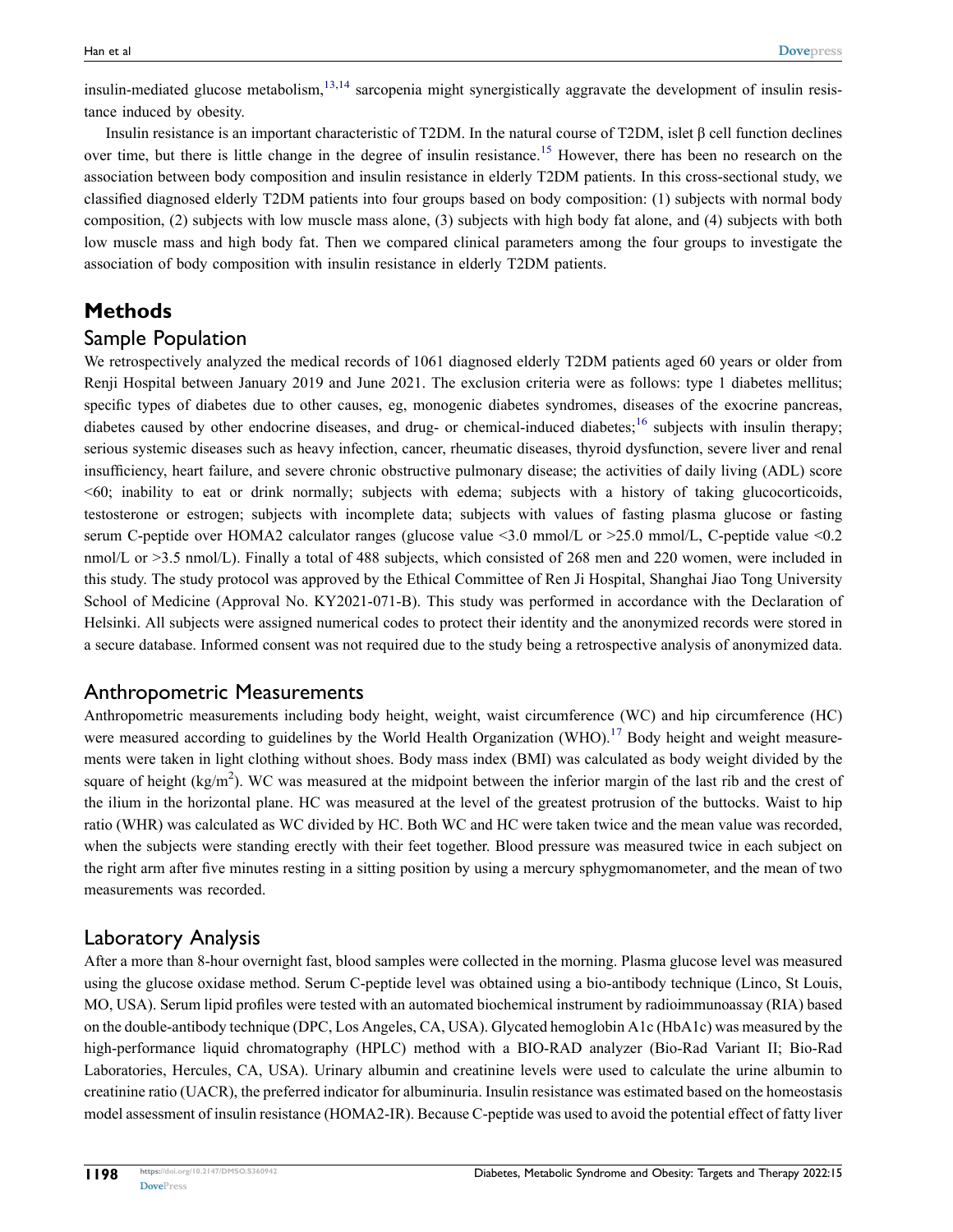<span id="page-1-0"></span>insulin-mediated glucose metabolism,  $13,14$  $13,14$  sarcopenia might synergistically aggravate the development of insulin resistance induced by obesity.

<span id="page-1-1"></span>Insulin resistance is an important characteristic of T2DM. In the natural course of T2DM, islet β cell function declines over time, but there is little change in the degree of insulin resistance.<sup>15</sup> However, there has been no research on the association between body composition and insulin resistance in elderly T2DM patients. In this cross-sectional study, we classified diagnosed elderly T2DM patients into four groups based on body composition: (1) subjects with normal body composition, (2) subjects with low muscle mass alone, (3) subjects with high body fat alone, and (4) subjects with both low muscle mass and high body fat. Then we compared clinical parameters among the four groups to investigate the association of body composition with insulin resistance in elderly T2DM patients.

## **Methods**

#### Sample Population

<span id="page-1-2"></span>We retrospectively analyzed the medical records of 1061 diagnosed elderly T2DM patients aged 60 years or older from Renji Hospital between January 2019 and June 2021. The exclusion criteria were as follows: type 1 diabetes mellitus; specific types of diabetes due to other causes, eg, monogenic diabetes syndromes, diseases of the exocrine pancreas, diabetes caused by other endocrine diseases, and drug- or chemical-induced diabetes;<sup>[16](#page-8-13)</sup> subjects with insulin therapy; serious systemic diseases such as heavy infection, cancer, rheumatic diseases, thyroid dysfunction, severe liver and renal insufficiency, heart failure, and severe chronic obstructive pulmonary disease; the activities of daily living (ADL) score <60; inability to eat or drink normally; subjects with edema; subjects with a history of taking glucocorticoids, testosterone or estrogen; subjects with incomplete data; subjects with values of fasting plasma glucose or fasting serum C-peptide over HOMA2 calculator ranges (glucose value <3.0 mmol/L or >25.0 mmol/L, C-peptide value <0.2 nmol/L or >3.5 nmol/L). Finally a total of 488 subjects, which consisted of 268 men and 220 women, were included in this study. The study protocol was approved by the Ethical Committee of Ren Ji Hospital, Shanghai Jiao Tong University School of Medicine (Approval No. KY2021-071-B). This study was performed in accordance with the Declaration of Helsinki. All subjects were assigned numerical codes to protect their identity and the anonymized records were stored in a secure database. Informed consent was not required due to the study being a retrospective analysis of anonymized data.

#### Anthropometric Measurements

<span id="page-1-3"></span>Anthropometric measurements including body height, weight, waist circumference (WC) and hip circumference (HC) were measured according to guidelines by the World Health Organization (WHO).<sup>[17](#page-8-14)</sup> Body height and weight measurements were taken in light clothing without shoes. Body mass index (BMI) was calculated as body weight divided by the square of height ( $kg/m<sup>2</sup>$ ). WC was measured at the midpoint between the inferior margin of the last rib and the crest of the ilium in the horizontal plane. HC was measured at the level of the greatest protrusion of the buttocks. Waist to hip ratio (WHR) was calculated as WC divided by HC. Both WC and HC were taken twice and the mean value was recorded, when the subjects were standing erectly with their feet together. Blood pressure was measured twice in each subject on the right arm after five minutes resting in a sitting position by using a mercury sphygmomanometer, and the mean of two measurements was recorded.

#### Laboratory Analysis

After a more than 8-hour overnight fast, blood samples were collected in the morning. Plasma glucose level was measured using the glucose oxidase method. Serum C-peptide level was obtained using a bio-antibody technique (Linco, St Louis, MO, USA). Serum lipid profiles were tested with an automated biochemical instrument by radioimmunoassay (RIA) based on the double-antibody technique (DPC, Los Angeles, CA, USA). Glycated hemoglobin A1c (HbA1c) was measured by the high-performance liquid chromatography (HPLC) method with a BIO-RAD analyzer (Bio-Rad Variant II; Bio-Rad Laboratories, Hercules, CA, USA). Urinary albumin and creatinine levels were used to calculate the urine albumin to creatinine ratio (UACR), the preferred indicator for albuminuria. Insulin resistance was estimated based on the homeostasis model assessment of insulin resistance (HOMA2-IR). Because C-peptide was used to avoid the potential effect of fatty liver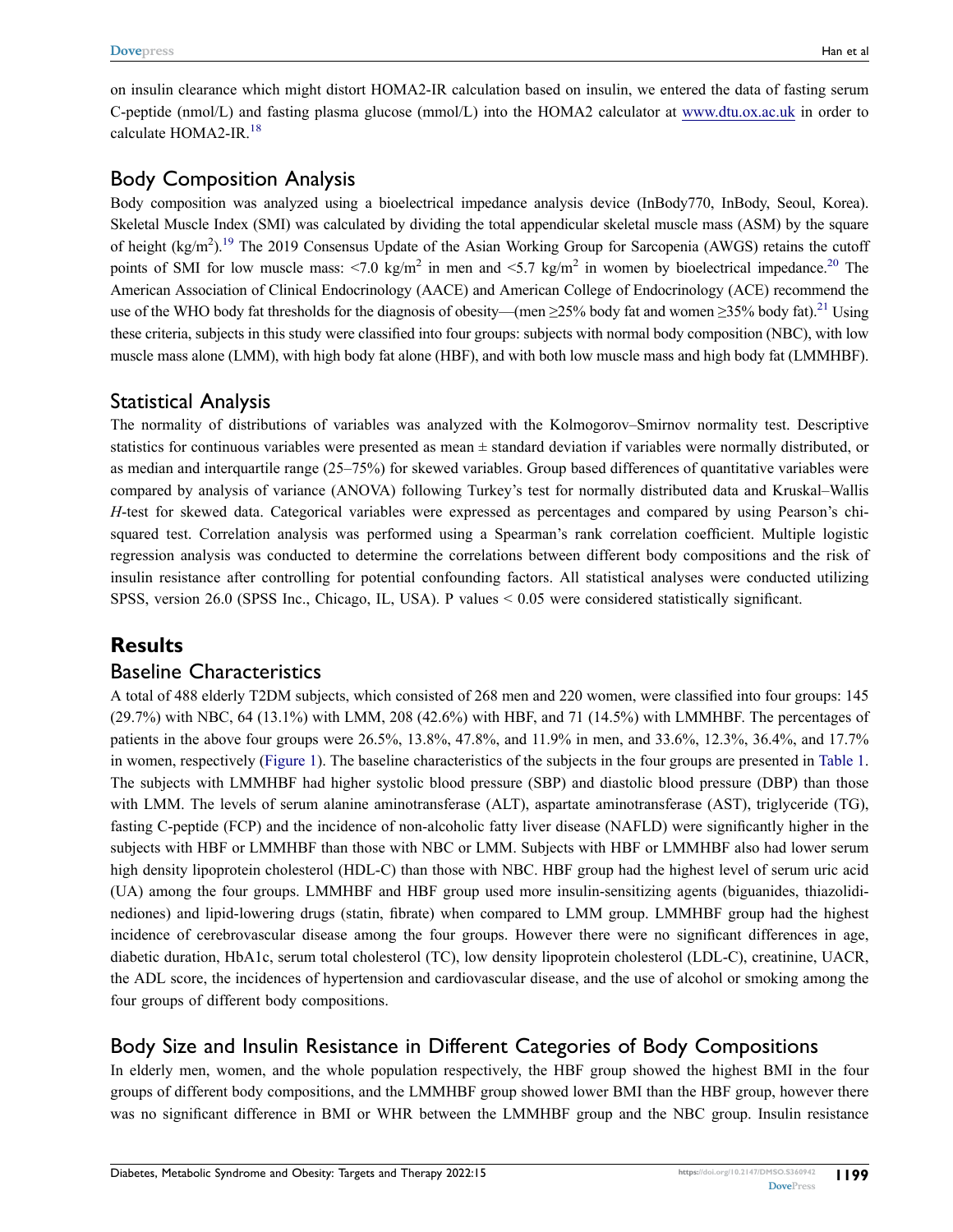<span id="page-2-0"></span>on insulin clearance which might distort HOMA2-IR calculation based on insulin, we entered the data of fasting serum C-peptide (nmol/L) and fasting plasma glucose (mmol/L) into the HOMA2 calculator at [www.dtu.ox.ac.uk](http://www.dtu.ox.ac.uk) in order to calculate HOMA2-IR.[18](#page-8-15)

#### Body Composition Analysis

<span id="page-2-2"></span><span id="page-2-1"></span>Body composition was analyzed using a bioelectrical impedance analysis device (InBody770, InBody, Seoul, Korea). Skeletal Muscle Index (SMI) was calculated by dividing the total appendicular skeletal muscle mass (ASM) by the square of height (kg/m<sup>2</sup>).<sup>19</sup> The 2019 Consensus Update of the Asian Working Group for Sarcopenia (AWGS) retains the cutoff points of SMI for low muscle mass:  $\langle 7.0 \text{ kg/m}^2 \rangle$  in men and  $\langle 5.7 \text{ kg/m}^2 \rangle$  in women by bioelectrical impedance.<sup>[20](#page-8-17)</sup> The American Association of Clinical Endocrinology (AACE) and American College of Endocrinology (ACE) recommend the use of the WHO body fat thresholds for the diagnosis of obesity—(men ≥25% body fat and women ≥35% body fat)[.21](#page-8-18) Using these criteria, subjects in this study were classified into four groups: subjects with normal body composition (NBC), with low muscle mass alone (LMM), with high body fat alone (HBF), and with both low muscle mass and high body fat (LMMHBF).

# <span id="page-2-3"></span>Statistical Analysis

The normality of distributions of variables was analyzed with the Kolmogorov–Smirnov normality test. Descriptive statistics for continuous variables were presented as mean ± standard deviation if variables were normally distributed, or as median and interquartile range (25–75%) for skewed variables. Group based differences of quantitative variables were compared by analysis of variance (ANOVA) following Turkey's test for normally distributed data and Kruskal–Wallis *H*-test for skewed data. Categorical variables were expressed as percentages and compared by using Pearson's chisquared test. Correlation analysis was performed using a Spearman's rank correlation coefficient. Multiple logistic regression analysis was conducted to determine the correlations between different body compositions and the risk of insulin resistance after controlling for potential confounding factors. All statistical analyses were conducted utilizing SPSS, version 26.0 (SPSS Inc., Chicago, IL, USA). P values < 0.05 were considered statistically significant.

## **Results**

#### Baseline Characteristics

A total of 488 elderly T2DM subjects, which consisted of 268 men and 220 women, were classified into four groups: 145 (29.7%) with NBC, 64 (13.1%) with LMM, 208 (42.6%) with HBF, and 71 (14.5%) with LMMHBF. The percentages of patients in the above four groups were 26.5%, 13.8%, 47.8%, and 11.9% in men, and 33.6%, 12.3%, 36.4%, and 17.7% in women, respectively [\(Figure 1\)](#page-3-0). The baseline characteristics of the subjects in the four groups are presented in [Table 1.](#page-4-0) The subjects with LMMHBF had higher systolic blood pressure (SBP) and diastolic blood pressure (DBP) than those with LMM. The levels of serum alanine aminotransferase (ALT), aspartate aminotransferase (AST), triglyceride (TG), fasting C-peptide (FCP) and the incidence of non-alcoholic fatty liver disease (NAFLD) were significantly higher in the subjects with HBF or LMMHBF than those with NBC or LMM. Subjects with HBF or LMMHBF also had lower serum high density lipoprotein cholesterol (HDL-C) than those with NBC. HBF group had the highest level of serum uric acid (UA) among the four groups. LMMHBF and HBF group used more insulin-sensitizing agents (biguanides, thiazolidinediones) and lipid-lowering drugs (statin, fibrate) when compared to LMM group. LMMHBF group had the highest incidence of cerebrovascular disease among the four groups. However there were no significant differences in age, diabetic duration, HbA1c, serum total cholesterol (TC), low density lipoprotein cholesterol (LDL-C), creatinine, UACR, the ADL score, the incidences of hypertension and cardiovascular disease, and the use of alcohol or smoking among the four groups of different body compositions.

# Body Size and Insulin Resistance in Different Categories of Body Compositions

In elderly men, women, and the whole population respectively, the HBF group showed the highest BMI in the four groups of different body compositions, and the LMMHBF group showed lower BMI than the HBF group, however there was no significant difference in BMI or WHR between the LMMHBF group and the NBC group. Insulin resistance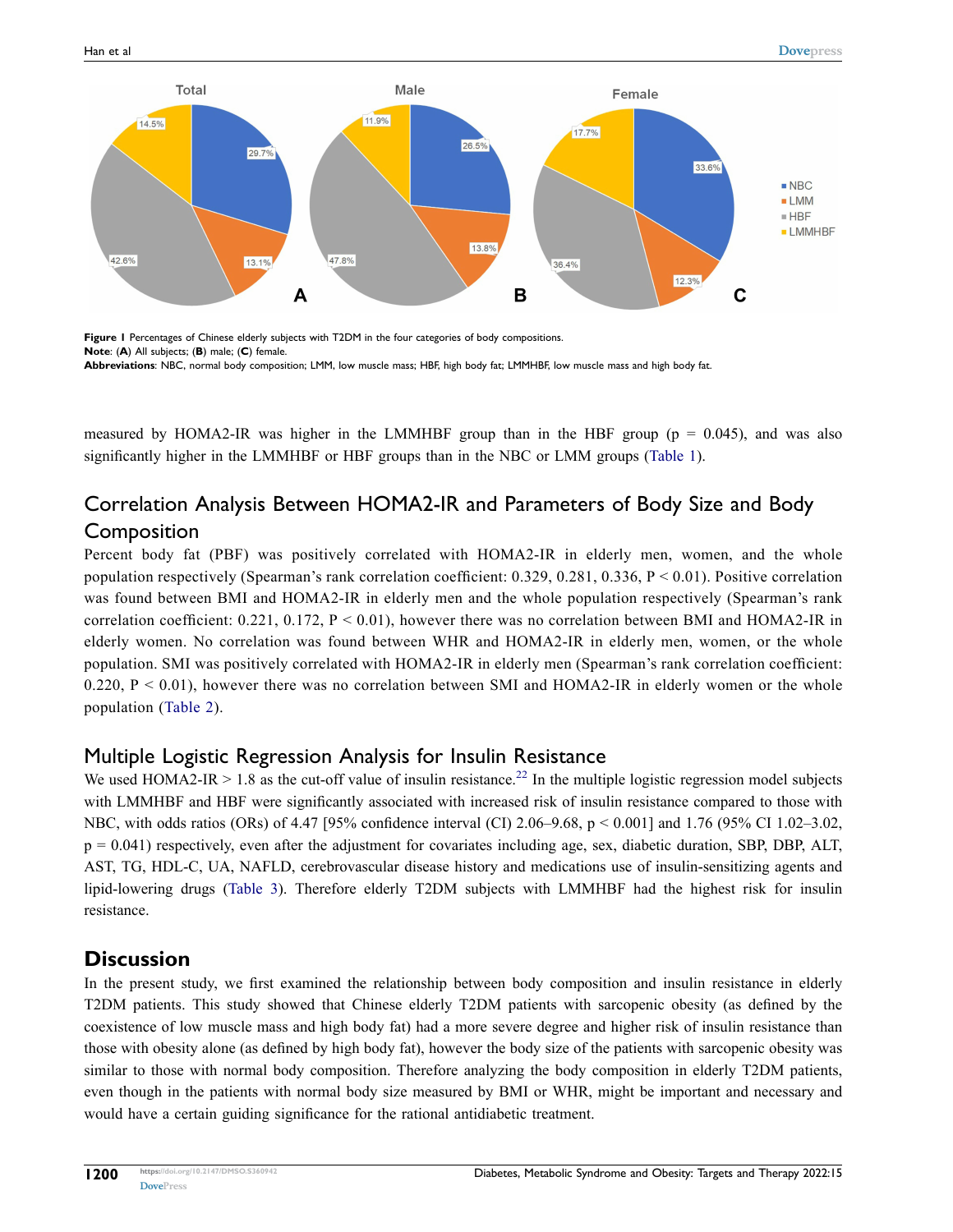<span id="page-3-0"></span>

Figure 1 Percentages of Chinese elderly subjects with T2DM in the four categories of body compositions. **Note**: (**A**) All subjects; (**B**) male; (**C**) female. **Abbreviations**: NBC, normal body composition; LMM, low muscle mass; HBF, high body fat; LMMHBF, low muscle mass and high body fat.

measured by HOMA2-IR was higher in the LMMHBF group than in the HBF group ( $p = 0.045$ ), and was also significantly higher in the LMMHBF or HBF groups than in the NBC or LMM groups [\(Table 1\)](#page-4-0).

# Correlation Analysis Between HOMA2-IR and Parameters of Body Size and Body **Composition**

Percent body fat (PBF) was positively correlated with HOMA2-IR in elderly men, women, and the whole population respectively (Spearman's rank correlation coefficient:  $0.329, 0.281, 0.336, P < 0.01$ ). Positive correlation was found between BMI and HOMA2-IR in elderly men and the whole population respectively (Spearman's rank correlation coefficient:  $0.221$ ,  $0.172$ ,  $P < 0.01$ ), however there was no correlation between BMI and HOMA2-IR in elderly women. No correlation was found between WHR and HOMA2-IR in elderly men, women, or the whole population. SMI was positively correlated with HOMA2-IR in elderly men (Spearman's rank correlation coefficient: 0.220,  $P < 0.01$ ), however there was no correlation between SMI and HOMA2-IR in elderly women or the whole population ([Table 2](#page-6-0)).

# Multiple Logistic Regression Analysis for Insulin Resistance

<span id="page-3-1"></span>We used HOMA2-IR  $> 1.8$  as the cut-off value of insulin resistance.<sup>[22](#page-9-0)</sup> In the multiple logistic regression model subjects with LMMHBF and HBF were significantly associated with increased risk of insulin resistance compared to those with NBC, with odds ratios (ORs) of 4.47 [95% confidence interval (CI) 2.06–9.68, p < 0.001] and 1.76 (95% CI 1.02–3.02,  $p = 0.041$ ) respectively, even after the adjustment for covariates including age, sex, diabetic duration, SBP, DBP, ALT, AST, TG, HDL-C, UA, NAFLD, cerebrovascular disease history and medications use of insulin-sensitizing agents and lipid-lowering drugs ([Table 3\)](#page-6-1). Therefore elderly T2DM subjects with LMMHBF had the highest risk for insulin resistance.

## **Discussion**

In the present study, we first examined the relationship between body composition and insulin resistance in elderly T2DM patients. This study showed that Chinese elderly T2DM patients with sarcopenic obesity (as defined by the coexistence of low muscle mass and high body fat) had a more severe degree and higher risk of insulin resistance than those with obesity alone (as defined by high body fat), however the body size of the patients with sarcopenic obesity was similar to those with normal body composition. Therefore analyzing the body composition in elderly T2DM patients, even though in the patients with normal body size measured by BMI or WHR, might be important and necessary and would have a certain guiding significance for the rational antidiabetic treatment.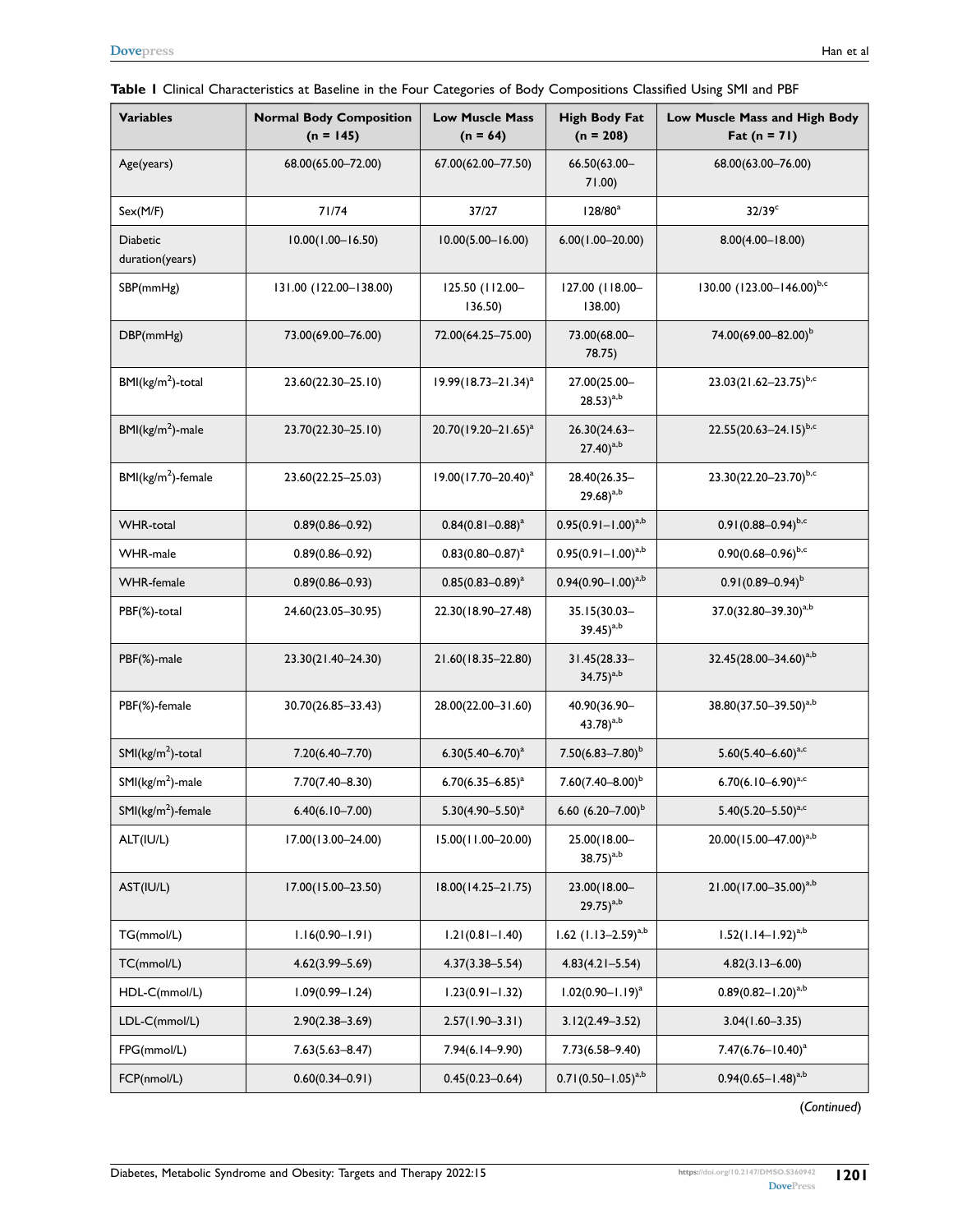<span id="page-4-0"></span>

|  |  |  | Table I Clinical Characteristics at Baseline in the Four Categories of Body Compositions Classified Using SMI and PBF |  |  |  |
|--|--|--|-----------------------------------------------------------------------------------------------------------------------|--|--|--|
|--|--|--|-----------------------------------------------------------------------------------------------------------------------|--|--|--|

| <b>Variables</b>                   | <b>Normal Body Composition</b><br>$(n = 145)$ | <b>Low Muscle Mass</b><br>$(n = 64)$ | <b>High Body Fat</b><br>$(n = 208)$   | Low Muscle Mass and High Body<br>Fat $(n = 71)$ |  |
|------------------------------------|-----------------------------------------------|--------------------------------------|---------------------------------------|-------------------------------------------------|--|
| Age(years)                         | 68.00(65.00-72.00)                            | 67.00(62.00-77.50)                   | 66.50(63.00-<br>71.00)                | 68.00(63.00-76.00)                              |  |
| Sex(M/F)                           | 71/74                                         | 37/27                                | $128/80^a$                            | $32/39$ <sup>c</sup>                            |  |
| <b>Diabetic</b><br>duration(years) | $10.00(1.00 - 16.50)$                         | $10.00(5.00 - 16.00)$                | $6.00(1.00 - 20.00)$                  | $8.00(4.00 - 18.00)$                            |  |
| SBP(mmHg)                          | 131.00 (122.00-138.00)                        | 125.50 (112.00-<br>136.50)           | 127.00 (118.00-<br>138.00)            | 130.00 (123.00-146.00)b,c                       |  |
| DBP(mmHg)                          | 73.00(69.00-76.00)                            | 72.00(64.25-75.00)                   | 73.00(68.00-<br>78.75)                | 74.00(69.00-82.00) <sup>b</sup>                 |  |
| $BMI(kg/m2)$ -total                | 23.60(22.30-25.10)                            | 19.99(18.73-21.34) <sup>a</sup>      | 27.00(25.00-<br>$(28.53)^{a,b}$       | 23.03(21.62-23.75)b,c                           |  |
| $BMI(kg/m2)$ -male                 | 23.70(22.30-25.10)                            | 20.70(19.20-21.65) <sup>a</sup>      | 26.30(24.63-<br>$(27.40)^{a,b}$       | $22.55(20.63 - 24.15)^{b,c}$                    |  |
| $BMI(kg/m2)$ -female               | 23.60(22.25-25.03)                            | 19.00(17.70-20.40) <sup>a</sup>      | 28.40(26.35-<br>$29.68)^{a,b}$        | 23.30(22.20-23.70)b,c                           |  |
| <b>WHR-total</b>                   | $0.89(0.86 - 0.92)$                           | $0.84(0.81 - 0.88)^{a}$              | $0.95(0.91 - 1.00)^{a,b}$             | $0.91(0.88 - 0.94)^{b,c}$                       |  |
| <b>WHR-male</b>                    | $0.89(0.86 - 0.92)$                           | $0.83(0.80 - 0.87)^{a}$              | $0.95(0.91 - 1.00)^{a,b}$             | $0.90(0.68 - 0.96)^{b,c}$                       |  |
| <b>WHR-female</b>                  | $0.89(0.86 - 0.93)$                           | $0.85(0.83 - 0.89)^{a}$              | $0.94(0.90 - 1.00)^{a,b}$             | $0.91(0.89 - 0.94)^{b}$                         |  |
| PBF(%)-total                       | 24.60(23.05-30.95)                            | 22.30(18.90-27.48)                   | 35.15(30.03-<br>$39.45)^{a,b}$        | 37.0(32.80-39.30) <sup>a,b</sup>                |  |
| PBF(%)-male                        | 23.30(21.40-24.30)                            | 21.60(18.35-22.80)                   | 31.45(28.33-<br>$34.75)^{a,b}$        | 32.45(28.00-34.60) <sup>a,b</sup>               |  |
| PBF(%)-female                      | 30.70(26.85-33.43)                            | 28.00(22.00-31.60)                   | 40.90(36.90-<br>43.78) <sup>a,b</sup> | 38.80(37.50-39.50) <sup>a,b</sup>               |  |
| $SMI(kg/m2)$ -total                | 7.20(6.40-7.70)                               | $6.30(5.40 - 6.70)^a$                | $7.50(6.83 - 7.80)^b$                 | $5.60(5.40 - 6.60)^{a,c}$                       |  |
| $SMI(kg/m2)$ -male                 | 7.70(7.40-8.30)                               | $6.70(6.35 - 6.85)^{a}$              | $7.60(7.40 - 8.00)^{b}$               | 6.70 $(6.10 - 6.90)^{a,c}$                      |  |
| $SMI(kg/m2)$ -female               | $6.40(6.10 - 7.00)$                           | $5.30(4.90 - 5.50)^a$                | 6.60 $(6.20 - 7.00)^b$                | $5.40(5.20 - 5.50)^{a,c}$                       |  |
| ALT(IU/L)                          | 17.00(13.00-24.00)                            | 15.00(11.00-20.00)                   | 25.00(18.00-<br>$38.75)^{a,b}$        | 20.00(15.00-47.00) <sup>a,b</sup>               |  |
| AST(IU/L)                          | 17.00(15.00-23.50)                            | 18.00(14.25-21.75)                   | 23.00(18.00-<br>$(29.75)^{a,b}$       | 21.00(17.00-35.00) <sup>a,b</sup>               |  |
| TG(mmol/L)                         | $1.16(0.90 - 1.91)$                           | $1.21(0.81 - 1.40)$                  | 1.62 $(1.13 - 2.59)^{a,b}$            | $1.52(1.14-1.92)^{a,b}$                         |  |
| TC(mmol/L)                         | $4.62(3.99 - 5.69)$                           | $4.37(3.38 - 5.54)$                  | $4.83(4.21 - 5.54)$                   | $4.82(3.13 - 6.00)$                             |  |
| HDL-C(mmol/L)                      | $1.09(0.99 - 1.24)$                           | $1.23(0.91 - 1.32)$                  | $1.02(0.90 - 1.19)^a$                 | $0.89(0.82 - 1.20)^{a,b}$                       |  |
| LDL-C(mmol/L)                      | $2.90(2.38 - 3.69)$                           | $2.57(1.90 - 3.31)$                  | $3.12(2.49 - 3.52)$                   | $3.04(1.60 - 3.35)$                             |  |
| FPG(mmol/L)                        | $7.63(5.63 - 8.47)$                           | $7.94(6.14 - 9.90)$                  | $7.73(6.58 - 9.40)$                   | $7.47(6.76 - 10.40)^a$                          |  |
| FCP(nmol/L)                        | $0.60(0.34 - 0.91)$                           | $0.45(0.23 - 0.64)$                  | $0.71(0.50 - 1.05)^{a,b}$             | $0.94(0.65 - 1.48)^{a,b}$                       |  |

(*Continued*)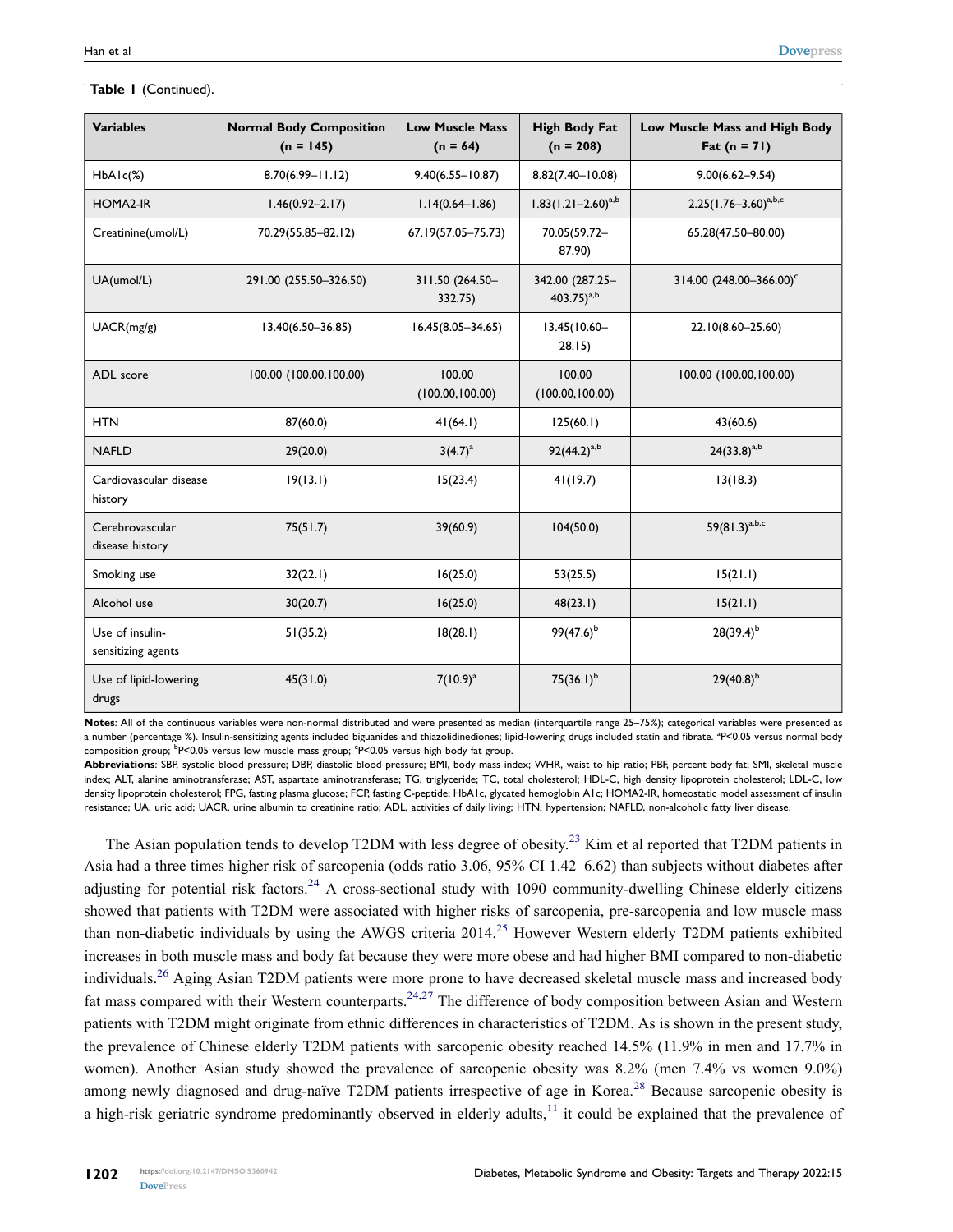| <b>Variables</b>                               | <b>Normal Body Composition</b><br>$(n = 145)$ | <b>Low Muscle Mass</b><br>$(n = 64)$ | <b>High Body Fat</b><br>$(n = 208)$ | Low Muscle Mass and High Body<br>$_{\rm{fat}}$ (n = 71) |  |
|------------------------------------------------|-----------------------------------------------|--------------------------------------|-------------------------------------|---------------------------------------------------------|--|
| $HbA1c(\%)$                                    | $8.70(6.99 - 11.12)$                          | $9.40(6.55 - 10.87)$                 | $8.82(7.40 - 10.08)$                | $9.00(6.62 - 9.54)$                                     |  |
| HOMA2-IR                                       | $1.46(0.92 - 2.17)$                           | $1.14(0.64 - 1.86)$                  | $1.83(1.21 - 2.60)^{a,b}$           | $2.25(1.76-3.60)^{a,b,c}$                               |  |
| Creatinine(umol/L)                             | 70.29(55.85-82.12)                            | 67.19(57.05-75.73)                   | 70.05(59.72-<br>87.90)              | 65.28(47.50-80.00)                                      |  |
| UA(umol/L)                                     | 291.00 (255.50-326.50)                        | 311.50 (264.50-<br>332.75)           | 342.00 (287.25-<br>$403.75)^{a,b}$  | 314.00 (248.00-366.00) <sup>c</sup>                     |  |
| UACR(mg/g)                                     | 13.40(6.50-36.85)                             | $16.45(8.05 - 34.65)$                | $13.45(10.60 -$<br>28.15)           | 22.10(8.60-25.60)                                       |  |
| ADL score                                      | 100.00 (100.00,100.00)                        | 100.00<br>(100.00, 100.00)           | 100.00<br>(100.00, 100.00)          | 100.00 (100.00,100.00)                                  |  |
| <b>HTN</b>                                     | 87(60.0)                                      | 41(64.1)                             | 125(60.1)                           | 43(60.6)                                                |  |
| <b>NAFLD</b>                                   | 29(20.0)                                      | $3(4.7)^{a}$                         | $92(44.2)^{a,b}$                    | $24(33.8)^{a,b}$                                        |  |
| Cardiovascular disease<br>history              | 19(13.1)                                      | 15(23.4)                             | 41(19.7)                            | 13(18.3)                                                |  |
| Cerebrovascular<br>75(51.7)<br>disease history |                                               | 39(60.9)                             | 104(50.0)                           | $59(81.3)^{a,b,c}$                                      |  |
| Smoking use                                    | 32(22.1)                                      | 16(25.0)                             | 53(25.5)                            | 15(21.1)                                                |  |
| Alcohol use                                    | 30(20.7)                                      | 16(25.0)                             | 48(23.1)                            | 15(21.1)                                                |  |
| Use of insulin-<br>sensitizing agents          | 51(35.2)                                      | 18(28.1)                             | $99(47.6)^{b}$                      | $28(39.4)^{b}$                                          |  |
| Use of lipid-lowering<br>drugs                 | 45(31.0)                                      | $7(10.9)^{a}$                        | $75(36.1)^b$                        | $29(40.8)^{b}$                                          |  |

#### **Table 1** (Continued).

**Notes**: All of the continuous variables were non-normal distributed and were presented as median (interquartile range 25–75%); categorical variables were presented as a number (percentage %). Insulin-sensitizing agents included biguanides and thiazolidinediones; lipid-lowering drugs included statin and fibrate. <sup>a</sup>P<0.05 versus normal body composition group; <sup>b</sup>P<0.05 versus low muscle mass group; <sup>c</sup>P<0.05 versus high body fat group.

**Abbreviations**: SBP, systolic blood pressure; DBP, diastolic blood pressure; BMI, body mass index; WHR, waist to hip ratio; PBF, percent body fat; SMI, skeletal muscle index; ALT, alanine aminotransferase; AST, aspartate aminotransferase; TG, triglyceride; TC, total cholesterol; HDL-C, high density lipoprotein cholesterol; LDL-C, low density lipoprotein cholesterol; FPG, fasting plasma glucose; FCP, fasting C-peptide; HbA1c, glycated hemoglobin A1c; HOMA2-IR, homeostatic model assessment of insulin resistance; UA, uric acid; UACR, urine albumin to creatinine ratio; ADL, activities of daily living; HTN, hypertension; NAFLD, non-alcoholic fatty liver disease.

<span id="page-5-5"></span><span id="page-5-4"></span><span id="page-5-3"></span><span id="page-5-2"></span><span id="page-5-1"></span><span id="page-5-0"></span>The Asian population tends to develop T2DM with less degree of obesity.<sup>[23](#page-9-1)</sup> Kim et al reported that T2DM patients in Asia had a three times higher risk of sarcopenia (odds ratio 3.06, 95% CI 1.42–6.62) than subjects without diabetes after adjusting for potential risk factors.<sup>[24](#page-9-2)</sup> A cross-sectional study with 1090 community-dwelling Chinese elderly citizens showed that patients with T2DM were associated with higher risks of sarcopenia, pre-sarcopenia and low muscle mass than non-diabetic individuals by using the AWGS criteria 2014.<sup>[25](#page-9-3)</sup> However Western elderly T2DM patients exhibited increases in both muscle mass and body fat because they were more obese and had higher BMI compared to non-diabetic individuals.[26](#page-9-4) Aging Asian T2DM patients were more prone to have decreased skeletal muscle mass and increased body fat mass compared with their Western counterparts.<sup>[24](#page-9-2),[27](#page-9-5)</sup> The difference of body composition between Asian and Western patients with T2DM might originate from ethnic differences in characteristics of T2DM. As is shown in the present study, the prevalence of Chinese elderly T2DM patients with sarcopenic obesity reached 14.5% (11.9% in men and 17.7% in women). Another Asian study showed the prevalence of sarcopenic obesity was 8.2% (men 7.4% vs women 9.0%) among newly diagnosed and drug-naïve T2DM patients irrespective of age in Korea.<sup>[28](#page-9-6)</sup> Because sarcopenic obesity is a high-risk geriatric syndrome predominantly observed in elderly adults, $^{11}$  $^{11}$  $^{11}$  it could be explained that the prevalence of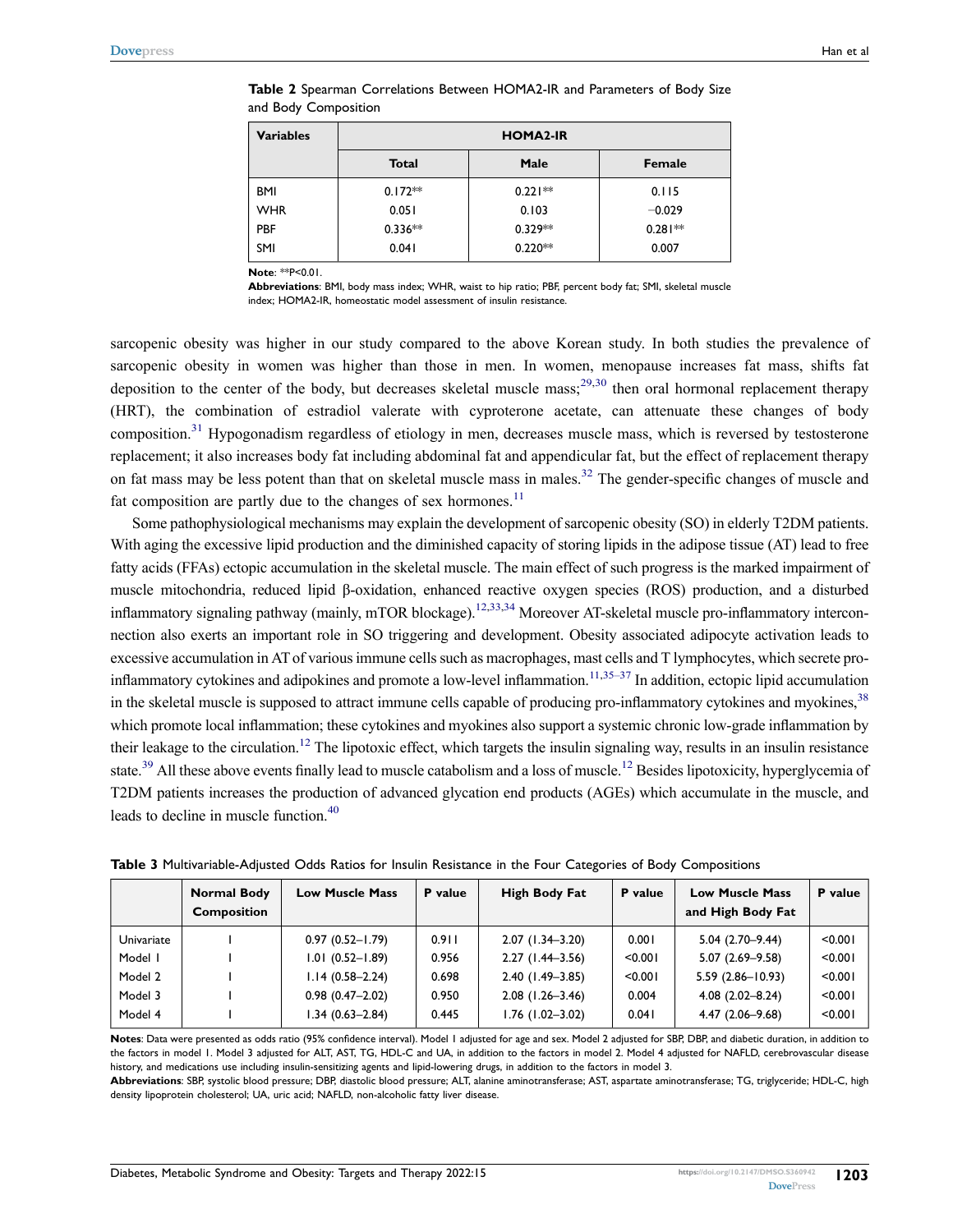| <b>Variables</b> | <b>HOMA2-IR</b> |           |               |  |  |
|------------------|-----------------|-----------|---------------|--|--|
|                  | <b>Total</b>    | Male      | <b>Female</b> |  |  |
| BMI              | $0.172**$       | $0.221**$ | 0.115         |  |  |
| <b>WHR</b>       | 0.051           | 0.103     | $-0.029$      |  |  |
| PBF              | $0.336**$       | $0.329**$ | $0.281**$     |  |  |
| SMI              | 0.041           | $0.220**$ | 0.007         |  |  |

<span id="page-6-0"></span>**Table 2** Spearman Correlations Between HOMA2-IR and Parameters of Body Size and Body Composition

**Note**: \*\*P<0.01.

**Abbreviations**: BMI, body mass index; WHR, waist to hip ratio; PBF, percent body fat; SMI, skeletal muscle index; HOMA2-IR, homeostatic model assessment of insulin resistance.

<span id="page-6-3"></span><span id="page-6-2"></span>sarcopenic obesity was higher in our study compared to the above Korean study. In both studies the prevalence of sarcopenic obesity in women was higher than those in men. In women, menopause increases fat mass, shifts fat deposition to the center of the body, but decreases skeletal muscle mass; $29,30$  $29,30$  then oral hormonal replacement therapy (HRT), the combination of estradiol valerate with cyproterone acetate, can attenuate these changes of body composition.<sup>[31](#page-9-9)</sup> Hypogonadism regardless of etiology in men, decreases muscle mass, which is reversed by testosterone replacement; it also increases body fat including abdominal fat and appendicular fat, but the effect of replacement therapy on fat mass may be less potent than that on skeletal muscle mass in males.<sup>[32](#page-9-10)</sup> The gender-specific changes of muscle and fat composition are partly due to the changes of sex hormones.<sup>[11](#page-8-8)</sup>

<span id="page-6-7"></span><span id="page-6-6"></span><span id="page-6-5"></span><span id="page-6-4"></span>Some pathophysiological mechanisms may explain the development of sarcopenic obesity (SO) in elderly T2DM patients. With aging the excessive lipid production and the diminished capacity of storing lipids in the adipose tissue (AT) lead to free fatty acids (FFAs) ectopic accumulation in the skeletal muscle. The main effect of such progress is the marked impairment of muscle mitochondria, reduced lipid β-oxidation, enhanced reactive oxygen species (ROS) production, and a disturbed inflammatory signaling pathway (mainly, mTOR blockage).<sup>[12,](#page-8-9)[33,](#page-9-11)[34](#page-9-12)</sup> Moreover AT-skeletal muscle pro-inflammatory interconnection also exerts an important role in SO triggering and development. Obesity associated adipocyte activation leads to excessive accumulation in AT of various immune cells such as macrophages, mast cells and T lymphocytes, which secrete pro-inflammatory cytokines and adipokines and promote a low-level inflammation.<sup>[11](#page-8-8)[,35–](#page-9-13)[37](#page-9-14)</sup> In addition, ectopic lipid accumulation in the skeletal muscle is supposed to attract immune cells capable of producing pro-inflammatory cytokines and myokines,<sup>38</sup> which promote local inflammation; these cytokines and myokines also support a systemic chronic low-grade inflammation by their leakage to the circulation.<sup>12</sup> The lipotoxic effect, which targets the insulin signaling way, results in an insulin resistance state.<sup>39</sup> All these above events finally lead to muscle catabolism and a loss of muscle.<sup>12</sup> Besides lipotoxicity, hyperglycemia of T2DM patients increases the production of advanced glycation end products (AGEs) which accumulate in the muscle, and leads to decline in muscle function.<sup>[40](#page-9-17)</sup>

<span id="page-6-9"></span><span id="page-6-8"></span><span id="page-6-1"></span>

| Table 3 Multivariable-Adjusted Odds Ratios for Insulin Resistance in the Four Categories of Body Compositions |  |  |  |  |
|---------------------------------------------------------------------------------------------------------------|--|--|--|--|
|---------------------------------------------------------------------------------------------------------------|--|--|--|--|

|            | <b>Normal Body</b><br><b>Composition</b> | <b>Low Muscle Mass</b> | P value | <b>High Body Fat</b> | P value | <b>Low Muscle Mass</b><br>and High Body Fat | P value |
|------------|------------------------------------------|------------------------|---------|----------------------|---------|---------------------------------------------|---------|
| Univariate |                                          | $0.97(0.52 - 1.79)$    | 0.911   | $2.07(1.34 - 3.20)$  | 0.001   | $5.04(2.70-9.44)$                           | < 0.001 |
| Model I    |                                          | $1.01(0.52 - 1.89)$    | 0.956   | $2.27(1.44-3.56)$    | < 0.001 | $5.07(2.69 - 9.58)$                         | < 0.001 |
| Model 2    |                                          | $1.14(0.58 - 2.24)$    | 0.698   | $2.40(1.49 - 3.85)$  | < 0.001 | $5.59(2.86 - 10.93)$                        | < 0.001 |
| Model 3    |                                          | $0.98(0.47 - 2.02)$    | 0.950   | $2.08$ (1.26-3.46)   | 0.004   | $4.08(2.02 - 8.24)$                         | < 0.001 |
| Model 4    |                                          | $1.34(0.63 - 2.84)$    | 0.445   | $1.76$ (1.02-3.02)   | 0.041   | $4.47(2.06 - 9.68)$                         | < 0.001 |
|            |                                          |                        |         |                      |         |                                             |         |

**Notes**: Data were presented as odds ratio (95% confidence interval). Model 1 adjusted for age and sex. Model 2 adjusted for SBP, DBP, and diabetic duration, in addition to the factors in model 1. Model 3 adjusted for ALT, AST, TG, HDL-C and UA, in addition to the factors in model 2. Model 4 adjusted for NAFLD, cerebrovascular disease history, and medications use including insulin-sensitizing agents and lipid-lowering drugs, in addition to the factors in model 3.

**Abbreviations**: SBP, systolic blood pressure; DBP, diastolic blood pressure; ALT, alanine aminotransferase; AST, aspartate aminotransferase; TG, triglyceride; HDL-C, high density lipoprotein cholesterol; UA, uric acid; NAFLD, non-alcoholic fatty liver disease.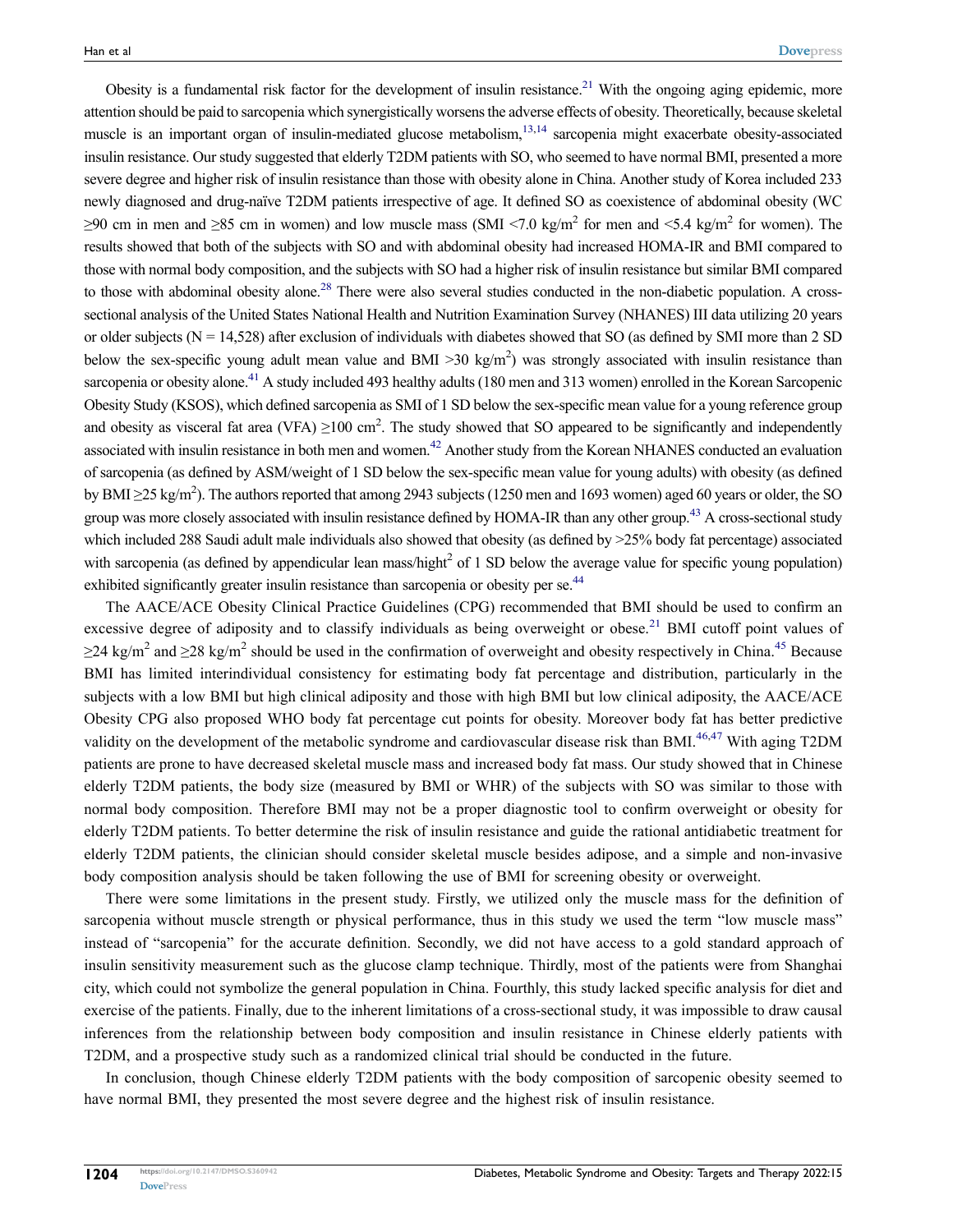Obesity is a fundamental risk factor for the development of insulin resistance.<sup>21</sup> With the ongoing aging epidemic, more attention should be paid to sarcopenia which synergistically worsens the adverse effects of obesity. Theoretically, because skeletal muscle is an important organ of insulin-mediated glucose metabolism, $13,14$  $13,14$  sarcopenia might exacerbate obesity-associated insulin resistance. Our study suggested that elderly T2DM patients with SO, who seemed to have normal BMI, presented a more severe degree and higher risk of insulin resistance than those with obesity alone in China. Another study of Korea included 233 newly diagnosed and drug-naïve T2DM patients irrespective of age. It defined SO as coexistence of abdominal obesity (WC  $≥90$  cm in men and  $≥85$  cm in women) and low muscle mass (SMI <7.0 kg/m<sup>2</sup> for men and <5.4 kg/m<sup>2</sup> for women). The results showed that both of the subjects with SO and with abdominal obesity had increased HOMA-IR and BMI compared to those with normal body composition, and the subjects with SO had a higher risk of insulin resistance but similar BMI compared to those with abdominal obesity alone.<sup>28</sup> There were also several studies conducted in the non-diabetic population. A crosssectional analysis of the United States National Health and Nutrition Examination Survey (NHANES) III data utilizing 20 years or older subjects ( $N = 14,528$ ) after exclusion of individuals with diabetes showed that SO (as defined by SMI more than 2 SD below the sex-specific young adult mean value and BMI >30 kg/m<sup>2</sup>) was strongly associated with insulin resistance than sarcopenia or obesity alone.<sup>[41](#page-9-18)</sup> A study included 493 healthy adults (180 men and 313 women) enrolled in the Korean Sarcopenic Obesity Study (KSOS), which defined sarcopenia as SMI of 1 SD below the sex-specific mean value for a young reference group and obesity as visceral fat area (VFA)  $\geq$ 100 cm<sup>2</sup>. The study showed that SO appeared to be significantly and independently associated with insulin resistance in both men and women[.42](#page-9-19) Another study from the Korean NHANES conducted an evaluation of sarcopenia (as defined by ASM/weight of 1 SD below the sex-specific mean value for young adults) with obesity (as defined by BMI ≥25 kg/m<sup>2</sup>). The authors reported that among 2943 subjects (1250 men and 1693 women) aged 60 years or older, the SO group was more closely associated with insulin resistance defined by HOMA-IR than any other group.<sup>43</sup> A cross-sectional study which included 288 Saudi adult male individuals also showed that obesity (as defined by  $>25\%$  body fat percentage) associated with sarcopenia (as defined by appendicular lean mass/hight<sup>2</sup> of 1 SD below the average value for specific young population) exhibited significantly greater insulin resistance than sarcopenia or obesity per se.<sup>44</sup>

<span id="page-7-5"></span><span id="page-7-4"></span><span id="page-7-3"></span><span id="page-7-2"></span><span id="page-7-1"></span><span id="page-7-0"></span>The AACE/ACE Obesity Clinical Practice Guidelines (CPG) recommended that BMI should be used to confirm an excessive degree of adiposity and to classify individuals as being overweight or obese.<sup>[21](#page-8-18)</sup> BMI cutoff point values of  $\geq$ 24 kg/m<sup>2</sup> and  $\geq$ 28 kg/m<sup>2</sup> should be used in the confirmation of overweight and obesity respectively in China.<sup>[45](#page-9-22)</sup> Because BMI has limited interindividual consistency for estimating body fat percentage and distribution, particularly in the subjects with a low BMI but high clinical adiposity and those with high BMI but low clinical adiposity, the AACE/ACE Obesity CPG also proposed WHO body fat percentage cut points for obesity. Moreover body fat has better predictive validity on the development of the metabolic syndrome and cardiovascular disease risk than BMI.[46,](#page-9-23)[47](#page-9-24) With aging T2DM patients are prone to have decreased skeletal muscle mass and increased body fat mass. Our study showed that in Chinese elderly T2DM patients, the body size (measured by BMI or WHR) of the subjects with SO was similar to those with normal body composition. Therefore BMI may not be a proper diagnostic tool to confirm overweight or obesity for elderly T2DM patients. To better determine the risk of insulin resistance and guide the rational antidiabetic treatment for elderly T2DM patients, the clinician should consider skeletal muscle besides adipose, and a simple and non-invasive body composition analysis should be taken following the use of BMI for screening obesity or overweight.

There were some limitations in the present study. Firstly, we utilized only the muscle mass for the definition of sarcopenia without muscle strength or physical performance, thus in this study we used the term "low muscle mass" instead of "sarcopenia" for the accurate definition. Secondly, we did not have access to a gold standard approach of insulin sensitivity measurement such as the glucose clamp technique. Thirdly, most of the patients were from Shanghai city, which could not symbolize the general population in China. Fourthly, this study lacked specific analysis for diet and exercise of the patients. Finally, due to the inherent limitations of a cross-sectional study, it was impossible to draw causal inferences from the relationship between body composition and insulin resistance in Chinese elderly patients with T2DM, and a prospective study such as a randomized clinical trial should be conducted in the future.

In conclusion, though Chinese elderly T2DM patients with the body composition of sarcopenic obesity seemed to have normal BMI, they presented the most severe degree and the highest risk of insulin resistance.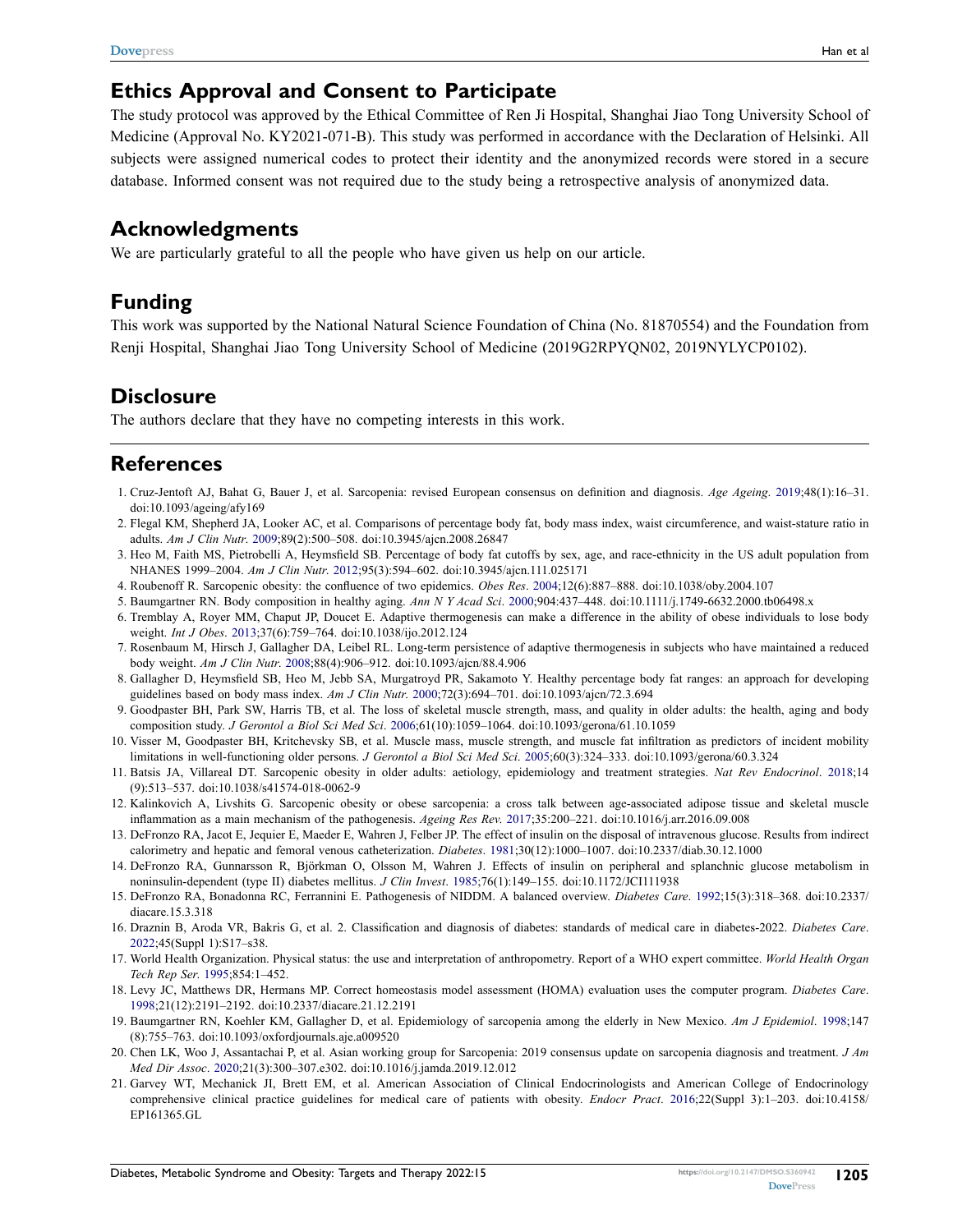#### **Ethics Approval and Consent to Participate**

The study protocol was approved by the Ethical Committee of Ren Ji Hospital, Shanghai Jiao Tong University School of Medicine (Approval No. KY2021-071-B). This study was performed in accordance with the Declaration of Helsinki. All subjects were assigned numerical codes to protect their identity and the anonymized records were stored in a secure database. Informed consent was not required due to the study being a retrospective analysis of anonymized data.

#### **Acknowledgments**

We are particularly grateful to all the people who have given us help on our article.

## **Funding**

This work was supported by the National Natural Science Foundation of China (No. 81870554) and the Foundation from Renji Hospital, Shanghai Jiao Tong University School of Medicine (2019G2RPYQN02, 2019NYLYCP0102).

#### **Disclosure**

The authors declare that they have no competing interests in this work.

#### **References**

- <span id="page-8-0"></span>1. Cruz-Jentoft AJ, Bahat G, Bauer J, et al. Sarcopenia: revised European consensus on definition and diagnosis. *Age Ageing*. [2019;](#page-0-0)48(1):16–31. doi:[10.1093/ageing/afy169](https://doi.org/10.1093/ageing/afy169)
- <span id="page-8-1"></span>2. Flegal KM, Shepherd JA, Looker AC, et al. Comparisons of percentage body fat, body mass index, waist circumference, and waist-stature ratio in adults. *Am J Clin Nutr*. [2009](#page-0-1);89(2):500–508. doi:[10.3945/ajcn.2008.26847](https://doi.org/10.3945/ajcn.2008.26847)
- <span id="page-8-2"></span>3. Heo M, Faith MS, Pietrobelli A, Heymsfield SB. Percentage of body fat cutoffs by sex, age, and race-ethnicity in the US adult population from NHANES 1999–2004. *Am J Clin Nutr*. [2012](#page-0-1);95(3):594–602. doi:[10.3945/ajcn.111.025171](https://doi.org/10.3945/ajcn.111.025171)
- <span id="page-8-3"></span>4. Roubenoff R. Sarcopenic obesity: the confluence of two epidemics. *Obes Res*. [2004;](#page-0-2)12(6):887–888. doi:[10.1038/oby.2004.107](https://doi.org/10.1038/oby.2004.107)
- <span id="page-8-4"></span>5. Baumgartner RN. Body composition in healthy aging. *Ann N Y Acad Sci*. [2000](#page-0-3);904:437–448. doi:[10.1111/j.1749-6632.2000.tb06498.x](https://doi.org/10.1111/j.1749-6632.2000.tb06498.x)
- <span id="page-8-5"></span>6. Tremblay A, Royer MM, Chaput JP, Doucet E. Adaptive thermogenesis can make a difference in the ability of obese individuals to lose body weight. *Int J Obes*. [2013;](#page-0-4)37(6):759–764. doi:[10.1038/ijo.2012.124](https://doi.org/10.1038/ijo.2012.124)
- <span id="page-8-6"></span>7. Rosenbaum M, Hirsch J, Gallagher DA, Leibel RL. Long-term persistence of adaptive thermogenesis in subjects who have maintained a reduced body weight. *Am J Clin Nutr*. [2008;](#page-0-4)88(4):906–912. doi:[10.1093/ajcn/88.4.906](https://doi.org/10.1093/ajcn/88.4.906)
- <span id="page-8-7"></span>8. Gallagher D, Heymsfield SB, Heo M, Jebb SA, Murgatroyd PR, Sakamoto Y. Healthy percentage body fat ranges: an approach for developing guidelines based on body mass index. *Am J Clin Nutr*. [2000](#page-0-5);72(3):694–701. doi:[10.1093/ajcn/72.3.694](https://doi.org/10.1093/ajcn/72.3.694)
- 9. Goodpaster BH, Park SW, Harris TB, et al. The loss of skeletal muscle strength, mass, and quality in older adults: the health, aging and body composition study. *J Gerontol a Biol Sci Med Sci*. 2006;61(10):1059–1064. doi:[10.1093/gerona/61.10.1059](https://doi.org/10.1093/gerona/61.10.1059)
- 10. Visser M, Goodpaster BH, Kritchevsky SB, et al. Muscle mass, muscle strength, and muscle fat infiltration as predictors of incident mobility limitations in well-functioning older persons. *J Gerontol a Biol Sci Med Sci*. 2005;60(3):324–333. doi:[10.1093/gerona/60.3.324](https://doi.org/10.1093/gerona/60.3.324)
- <span id="page-8-8"></span>11. Batsis JA, Villareal DT. Sarcopenic obesity in older adults: aetiology, epidemiology and treatment strategies. *Nat Rev Endocrinol*. [2018](#page-5-0);14 (9):513–537. doi:[10.1038/s41574-018-0062-9](https://doi.org/10.1038/s41574-018-0062-9)
- <span id="page-8-9"></span>12. Kalinkovich A, Livshits G. Sarcopenic obesity or obese sarcopenia: a cross talk between age-associated adipose tissue and skeletal muscle inflammation as a main mechanism of the pathogenesis. *Ageing Res Rev*. [2017;](#page-0-6)35:200–221. doi:[10.1016/j.arr.2016.09.008](https://doi.org/10.1016/j.arr.2016.09.008)
- <span id="page-8-10"></span>13. DeFronzo RA, Jacot E, Jequier E, Maeder E, Wahren J, Felber JP. The effect of insulin on the disposal of intravenous glucose. Results from indirect calorimetry and hepatic and femoral venous catheterization. *Diabetes*. [1981;](#page-1-0)30(12):1000–1007. doi:[10.2337/diab.30.12.1000](https://doi.org/10.2337/diab.30.12.1000)
- <span id="page-8-11"></span>14. DeFronzo RA, Gunnarsson R, Björkman O, Olsson M, Wahren J. Effects of insulin on peripheral and splanchnic glucose metabolism in noninsulin-dependent (type II) diabetes mellitus. *J Clin Invest*. [1985](#page-1-0);76(1):149–155. doi:[10.1172/JCI111938](https://doi.org/10.1172/JCI111938)
- <span id="page-8-12"></span>15. DeFronzo RA, Bonadonna RC, Ferrannini E. Pathogenesis of NIDDM. A balanced overview. *Diabetes Care*. [1992](#page-1-1);15(3):318–368. doi:[10.2337/](https://doi.org/10.2337/diacare.15.3.318) [diacare.15.3.318](https://doi.org/10.2337/diacare.15.3.318)
- <span id="page-8-13"></span>16. Draznin B, Aroda VR, Bakris G, et al. 2. Classification and diagnosis of diabetes: standards of medical care in diabetes-2022. *Diabetes Care*. [2022;](#page-1-2)45(Suppl 1):S17–s38.
- <span id="page-8-14"></span>17. World Health Organization. Physical status: the use and interpretation of anthropometry. Report of a WHO expert committee. *World Health Organ Tech Rep Ser*. [1995](#page-1-3);854:1–452.
- <span id="page-8-15"></span>18. Levy JC, Matthews DR, Hermans MP. Correct homeostasis model assessment (HOMA) evaluation uses the computer program. *Diabetes Care*. [1998;](#page-2-0)21(12):2191–2192. doi:[10.2337/diacare.21.12.2191](https://doi.org/10.2337/diacare.21.12.2191)
- <span id="page-8-16"></span>19. Baumgartner RN, Koehler KM, Gallagher D, et al. Epidemiology of sarcopenia among the elderly in New Mexico. *Am J Epidemiol*. [1998](#page-2-1);147 (8):755–763. doi:[10.1093/oxfordjournals.aje.a009520](https://doi.org/10.1093/oxfordjournals.aje.a009520)
- <span id="page-8-17"></span>20. Chen LK, Woo J, Assantachai P, et al. Asian working group for Sarcopenia: 2019 consensus update on sarcopenia diagnosis and treatment. *J Am Med Dir Assoc*. [2020;](#page-2-2)21(3):300–307.e302. doi:[10.1016/j.jamda.2019.12.012](https://doi.org/10.1016/j.jamda.2019.12.012)
- <span id="page-8-18"></span>21. Garvey WT, Mechanick JI, Brett EM, et al. American Association of Clinical Endocrinologists and American College of Endocrinology comprehensive clinical practice guidelines for medical care of patients with obesity. *Endocr Pract*. [2016;](#page-2-3)22(Suppl 3):1–203. doi:[10.4158/](https://doi.org/10.4158/EP161365.GL) [EP161365.GL](https://doi.org/10.4158/EP161365.GL)